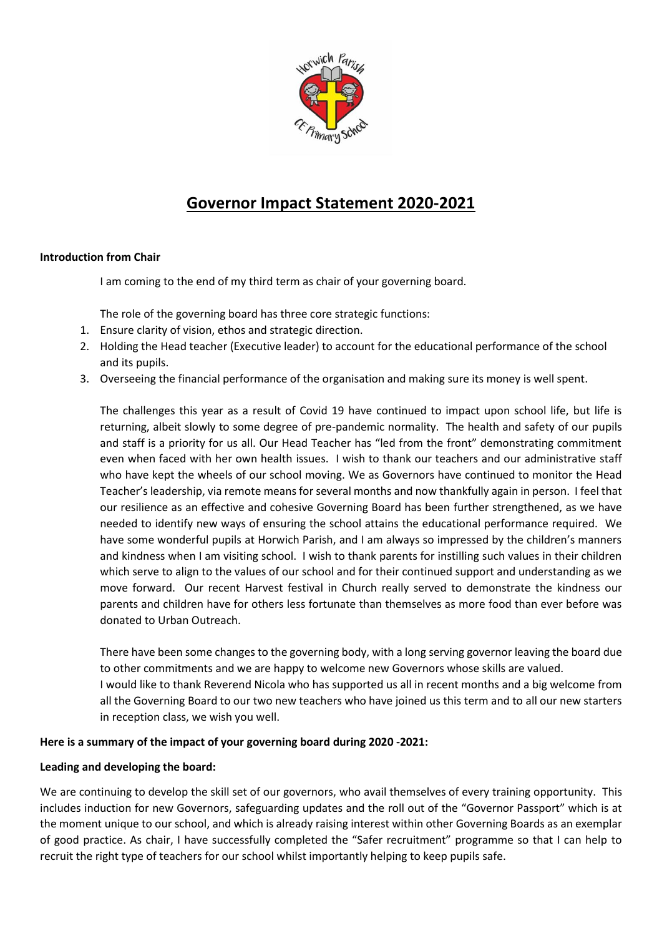

# **Governor Impact Statement 2020-2021**

## **Introduction from Chair**

I am coming to the end of my third term as chair of your governing board.

The role of the governing board has three core strategic functions:

- 1. Ensure clarity of vision, ethos and strategic direction.
- 2. Holding the Head teacher (Executive leader) to account for the educational performance of the school and its pupils.
- 3. Overseeing the financial performance of the organisation and making sure its money is well spent.

The challenges this year as a result of Covid 19 have continued to impact upon school life, but life is returning, albeit slowly to some degree of pre-pandemic normality. The health and safety of our pupils and staff is a priority for us all. Our Head Teacher has "led from the front" demonstrating commitment even when faced with her own health issues. I wish to thank our teachers and our administrative staff who have kept the wheels of our school moving. We as Governors have continued to monitor the Head Teacher's leadership, via remote means for several months and now thankfully again in person. I feel that our resilience as an effective and cohesive Governing Board has been further strengthened, as we have needed to identify new ways of ensuring the school attains the educational performance required. We have some wonderful pupils at Horwich Parish, and I am always so impressed by the children's manners and kindness when I am visiting school. I wish to thank parents for instilling such values in their children which serve to align to the values of our school and for their continued support and understanding as we move forward. Our recent Harvest festival in Church really served to demonstrate the kindness our parents and children have for others less fortunate than themselves as more food than ever before was donated to Urban Outreach.

There have been some changes to the governing body, with a long serving governor leaving the board due to other commitments and we are happy to welcome new Governors whose skills are valued. I would like to thank Reverend Nicola who has supported us all in recent months and a big welcome from all the Governing Board to our two new teachers who have joined us this term and to all our new starters in reception class, we wish you well.

## **Here is a summary of the impact of your governing board during 2020 -2021:**

## **Leading and developing the board:**

We are continuing to develop the skill set of our governors, who avail themselves of every training opportunity. This includes induction for new Governors, safeguarding updates and the roll out of the "Governor Passport" which is at the moment unique to our school, and which is already raising interest within other Governing Boards as an exemplar of good practice. As chair, I have successfully completed the "Safer recruitment" programme so that I can help to recruit the right type of teachers for our school whilst importantly helping to keep pupils safe.